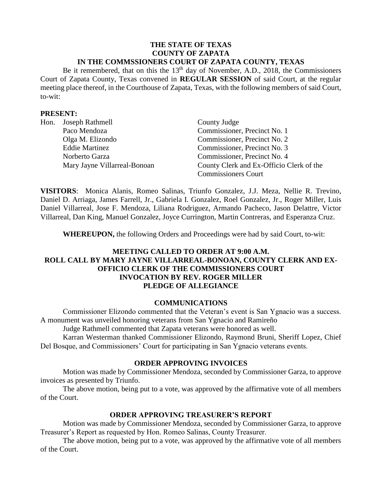#### **THE STATE OF TEXAS COUNTY OF ZAPATA IN THE COMMSSIONERS COURT OF ZAPATA COUNTY, TEXAS**

Be it remembered, that on this the  $13<sup>th</sup>$  day of November, A.D., 2018, the Commissioners Court of Zapata County, Texas convened in **REGULAR SESSION** of said Court, at the regular meeting place thereof, in the Courthouse of Zapata, Texas, with the following members of said Court, to-wit:

#### **PRESENT:**

| Hon. Joseph Rathmell         | County Judge                             |
|------------------------------|------------------------------------------|
| Paco Mendoza                 | Commissioner, Precinct No. 1             |
| Olga M. Elizondo             | Commissioner, Precinct No. 2             |
| <b>Eddie Martinez</b>        | Commissioner, Precinct No. 3             |
| Norberto Garza               | Commissioner, Precinct No. 4             |
| Mary Jayne Villarreal-Bonoan | County Clerk and Ex-Officio Clerk of the |
|                              | <b>Commissioners Court</b>               |

**VISITORS**: Monica Alanis, Romeo Salinas, Triunfo Gonzalez, J.J. Meza, Nellie R. Trevino, Daniel D. Arriaga, James Farrell, Jr., Gabriela I. Gonzalez, Roel Gonzalez, Jr., Roger Miller, Luis Daniel Villarreal, Jose F. Mendoza, Liliana Rodriguez, Armando Pacheco, Jason Delattre, Victor Villarreal, Dan King, Manuel Gonzalez, Joyce Currington, Martin Contreras, and Esperanza Cruz.

**WHEREUPON,** the following Orders and Proceedings were had by said Court, to-wit:

## **MEETING CALLED TO ORDER AT 9:00 A.M. ROLL CALL BY MARY JAYNE VILLARREAL-BONOAN, COUNTY CLERK AND EX-OFFICIO CLERK OF THE COMMISSIONERS COURT INVOCATION BY REV. ROGER MILLER PLEDGE OF ALLEGIANCE**

#### **COMMUNICATIONS**

Commissioner Elizondo commented that the Veteran's event is San Ygnacio was a success. A monument was unveiled honoring veterans from San Ygnacio and Ramireño

Judge Rathmell commented that Zapata veterans were honored as well.

Karran Westerman thanked Commissioner Elizondo, Raymond Bruni, Sheriff Lopez, Chief Del Bosque, and Commissioners' Court for participating in San Ygnacio veterans events.

## **ORDER APPROVING INVOICES**

Motion was made by Commissioner Mendoza, seconded by Commissioner Garza, to approve invoices as presented by Triunfo.

The above motion, being put to a vote, was approved by the affirmative vote of all members of the Court.

## **ORDER APPROVING TREASURER'S REPORT**

Motion was made by Commissioner Mendoza, seconded by Commissioner Garza, to approve Treasurer's Report as requested by Hon. Romeo Salinas, County Treasurer.

The above motion, being put to a vote, was approved by the affirmative vote of all members of the Court.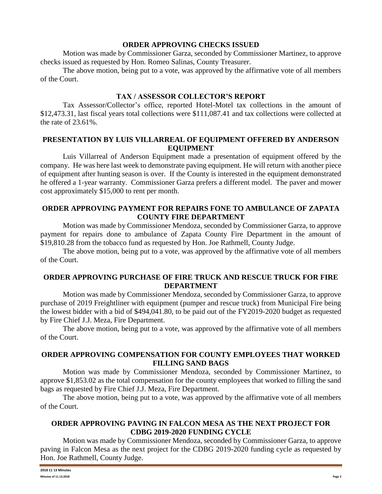#### **ORDER APPROVING CHECKS ISSUED**

Motion was made by Commissioner Garza, seconded by Commissioner Martinez, to approve checks issued as requested by Hon. Romeo Salinas, County Treasurer.

The above motion, being put to a vote, was approved by the affirmative vote of all members of the Court.

# **TAX / ASSESSOR COLLECTOR'S REPORT**

Tax Assessor/Collector's office, reported Hotel-Motel tax collections in the amount of \$12,473.31, last fiscal years total collections were \$111,087.41 and tax collections were collected at the rate of 23.61%.

## **PRESENTATION BY LUIS VILLARREAL OF EQUIPMENT OFFERED BY ANDERSON EQUIPMENT**

Luis Villarreal of Anderson Equipment made a presentation of equipment offered by the company. He was here last week to demonstrate paving equipment. He will return with another piece of equipment after hunting season is over. If the County is interested in the equipment demonstrated he offered a 1-year warranty. Commissioner Garza prefers a different model. The paver and mower cost approximately \$15,000 to rent per month.

## **ORDER APPROVING PAYMENT FOR REPAIRS FONE TO AMBULANCE OF ZAPATA COUNTY FIRE DEPARTMENT**

Motion was made by Commissioner Mendoza, seconded by Commissioner Garza, to approve payment for repairs done to ambulance of Zapata County Fire Department in the amount of \$19,810.28 from the tobacco fund as requested by Hon. Joe Rathmell, County Judge.

The above motion, being put to a vote, was approved by the affirmative vote of all members of the Court.

## **ORDER APPROVING PURCHASE OF FIRE TRUCK AND RESCUE TRUCK FOR FIRE DEPARTMENT**

Motion was made by Commissioner Mendoza, seconded by Commissioner Garza, to approve purchase of 2019 Freightliner with equipment (pumper and rescue truck) from Municipal Fire being the lowest bidder with a bid of \$494,041.80, to be paid out of the FY2019-2020 budget as requested by Fire Chief J.J. Meza, Fire Department.

The above motion, being put to a vote, was approved by the affirmative vote of all members of the Court.

## **ORDER APPROVING COMPENSATION FOR COUNTY EMPLOYEES THAT WORKED FILLING SAND BAGS**

Motion was made by Commissioner Mendoza, seconded by Commissioner Martinez, to approve \$1,853.02 as the total compensation for the county employees that worked to filling the sand bags as requested by Fire Chief J.J. Meza, Fire Department.

The above motion, being put to a vote, was approved by the affirmative vote of all members of the Court.

## **ORDER APPROVING PAVING IN FALCON MESA AS THE NEXT PROJECT FOR CDBG 2019-2020 FUNDING CYCLE**

Motion was made by Commissioner Mendoza, seconded by Commissioner Garza, to approve paving in Falcon Mesa as the next project for the CDBG 2019-2020 funding cycle as requested by Hon. Joe Rathmell, County Judge.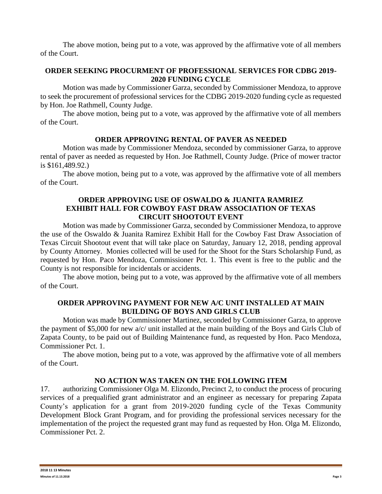The above motion, being put to a vote, was approved by the affirmative vote of all members of the Court.

## **ORDER SEEKING PROCURMENT OF PROFESSIONAL SERVICES FOR CDBG 2019- 2020 FUNDING CYCLE**

Motion was made by Commissioner Garza, seconded by Commissioner Mendoza, to approve to seek the procurement of professional services for the CDBG 2019-2020 funding cycle as requested by Hon. Joe Rathmell, County Judge.

The above motion, being put to a vote, was approved by the affirmative vote of all members of the Court.

## **ORDER APPROVING RENTAL OF PAVER AS NEEDED**

Motion was made by Commissioner Mendoza, seconded by commissioner Garza, to approve rental of paver as needed as requested by Hon. Joe Rathmell, County Judge. (Price of mower tractor is \$161,489.92.)

The above motion, being put to a vote, was approved by the affirmative vote of all members of the Court.

## **ORDER APPROVING USE OF OSWALDO & JUANITA RAMRIEZ EXHIBIT HALL FOR COWBOY FAST DRAW ASSOCIATION OF TEXAS CIRCUIT SHOOTOUT EVENT**

Motion was made by Commissioner Garza, seconded by Commissioner Mendoza, to approve the use of the Oswaldo & Juanita Ramirez Exhibit Hall for the Cowboy Fast Draw Association of Texas Circuit Shootout event that will take place on Saturday, January 12, 2018, pending approval by County Attorney. Monies collected will be used for the Shoot for the Stars Scholarship Fund, as requested by Hon. Paco Mendoza, Commissioner Pct. 1. This event is free to the public and the County is not responsible for incidentals or accidents.

The above motion, being put to a vote, was approved by the affirmative vote of all members of the Court.

## **ORDER APPROVING PAYMENT FOR NEW A/C UNIT INSTALLED AT MAIN BUILDING OF BOYS AND GIRLS CLUB**

Motion was made by Commissioner Martinez, seconded by Commissioner Garza, to approve the payment of \$5,000 for new a/c/ unit installed at the main building of the Boys and Girls Club of Zapata County, to be paid out of Building Maintenance fund, as requested by Hon. Paco Mendoza, Commissioner Pct. 1.

The above motion, being put to a vote, was approved by the affirmative vote of all members of the Court.

## **NO ACTION WAS TAKEN ON THE FOLLOWING ITEM**

17. authorizing Commissioner Olga M. Elizondo, Precinct 2, to conduct the process of procuring services of a prequalified grant administrator and an engineer as necessary for preparing Zapata County's application for a grant from 2019-2020 funding cycle of the Texas Community Development Block Grant Program, and for providing the professional services necessary for the implementation of the project the requested grant may fund as requested by Hon. Olga M. Elizondo, Commissioner Pct. 2.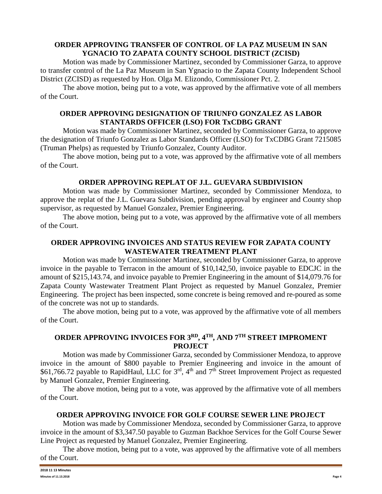## **ORDER APPROVING TRANSFER OF CONTROL OF LA PAZ MUSEUM IN SAN YGNACIO TO ZAPATA COUNTY SCHOOL DISTRICT (ZCISD)**

Motion was made by Commissioner Martinez, seconded by Commissioner Garza, to approve to transfer control of the La Paz Museum in San Ygnacio to the Zapata County Independent School District (ZCISD) as requested by Hon. Olga M. Elizondo, Commissioner Pct. 2.

The above motion, being put to a vote, was approved by the affirmative vote of all members of the Court.

## **ORDER APPROVING DESIGNATION OF TRIUNFO GONZALEZ AS LABOR STANTARDS OFFICER (LSO) FOR TxCDBG GRANT**

Motion was made by Commissioner Martinez, seconded by Commissioner Garza, to approve the designation of Triunfo Gonzalez as Labor Standards Officer (LSO) for TxCDBG Grant 7215085 (Truman Phelps) as requested by Triunfo Gonzalez, County Auditor.

The above motion, being put to a vote, was approved by the affirmative vote of all members of the Court.

# **ORDER APPROVING REPLAT OF J.L. GUEVARA SUBDIVISION**

Motion was made by Commissioner Martinez, seconded by Commissioner Mendoza, to approve the replat of the J.L. Guevara Subdivision, pending approval by engineer and County shop supervisor, as requested by Manuel Gonzalez, Premier Engineering.

The above motion, being put to a vote, was approved by the affirmative vote of all members of the Court.

## **ORDER APPROVING INVOICES AND STATUS REVIEW FOR ZAPATA COUNTY WASTEWATER TREATMENT PLANT**

Motion was made by Commissioner Martinez, seconded by Commissioner Garza, to approve invoice in the payable to Terracon in the amount of \$10,142,50, invoice payable to EDCJC in the amount of \$215,143.74, and invoice payable to Premier Engineering in the amount of \$14,079.76 for Zapata County Wastewater Treatment Plant Project as requested by Manuel Gonzalez, Premier Engineering. The project has been inspected, some concrete is being removed and re-poured as some of the concrete was not up to standards.

The above motion, being put to a vote, was approved by the affirmative vote of all members of the Court.

# **ORDER APPROVING INVOICES FOR 3RD, 4TH, AND 7TH STREET IMPROMENT PROJECT**

Motion was made by Commissioner Garza, seconded by Commissioner Mendoza, to approve invoice in the amount of \$800 payable to Premier Engineering and invoice in the amount of \$61,766.72 payable to RapidHaul, LLC for  $3<sup>rd</sup>$ , 4<sup>th</sup> and 7<sup>th</sup> Street Improvement Project as requested by Manuel Gonzalez, Premier Engineering.

The above motion, being put to a vote, was approved by the affirmative vote of all members of the Court.

## **ORDER APPROVING INVOICE FOR GOLF COURSE SEWER LINE PROJECT**

Motion was made by Commissioner Mendoza, seconded by Commissioner Garza, to approve invoice in the amount of \$3,347.50 payable to Guzman Backhoe Services for the Golf Course Sewer Line Project as requested by Manuel Gonzalez, Premier Engineering.

The above motion, being put to a vote, was approved by the affirmative vote of all members of the Court.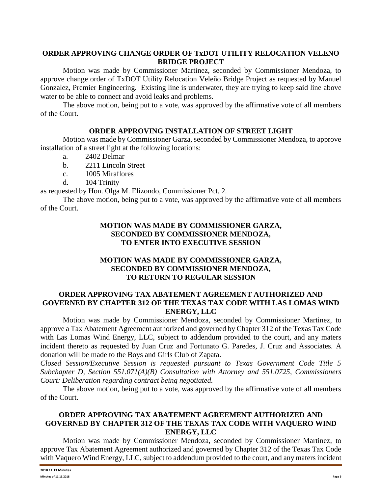### **ORDER APPROVING CHANGE ORDER OF TxDOT UTILITY RELOCATION VELENO BRIDGE PROJECT**

Motion was made by Commissioner Martinez, seconded by Commissioner Mendoza, to approve change order of TxDOT Utility Relocation Veleño Bridge Project as requested by Manuel Gonzalez, Premier Engineering. Existing line is underwater, they are trying to keep said line above water to be able to connect and avoid leaks and problems.

The above motion, being put to a vote, was approved by the affirmative vote of all members of the Court.

#### **ORDER APPROVING INSTALLATION OF STREET LIGHT**

Motion was made by Commissioner Garza, seconded by Commissioner Mendoza, to approve installation of a street light at the following locations:

- a. 2402 Delmar
- b. 2211 Lincoln Street
- c. 1005 Miraflores
- d. 104 Trinity

as requested by Hon. Olga M. Elizondo, Commissioner Pct. 2.

The above motion, being put to a vote, was approved by the affirmative vote of all members of the Court.

## **MOTION WAS MADE BY COMMISSIONER GARZA, SECONDED BY COMMISSIONER MENDOZA, TO ENTER INTO EXECUTIVE SESSION**

## **MOTION WAS MADE BY COMMISSIONER GARZA, SECONDED BY COMMISSIONER MENDOZA, TO RETURN TO REGULAR SESSION**

## **ORDER APPROVING TAX ABATEMENT AGREEMENT AUTHORIZED AND GOVERNED BY CHAPTER 312 OF THE TEXAS TAX CODE WITH LAS LOMAS WIND ENERGY, LLC**

Motion was made by Commissioner Mendoza, seconded by Commissioner Martinez, to approve a Tax Abatement Agreement authorized and governed by Chapter 312 of the Texas Tax Code with Las Lomas Wind Energy, LLC, subject to addendum provided to the court, and any maters incident thereto as requested by Juan Cruz and Fortunato G. Paredes, J. Cruz and Associates. A donation will be made to the Boys and Girls Club of Zapata.

*Closed Session/Executive Session is requested pursuant to Texas Government Code Title 5 Subchapter D, Section 551.071(A)(B) Consultation with Attorney and 551.0725, Commissioners Court: Deliberation regarding contract being negotiated.*

The above motion, being put to a vote, was approved by the affirmative vote of all members of the Court.

#### **ORDER APPROVING TAX ABATEMENT AGREEMENT AUTHORIZED AND GOVERNED BY CHAPTER 312 OF THE TEXAS TAX CODE WITH VAQUERO WIND ENERGY, LLC**

Motion was made by Commissioner Mendoza, seconded by Commissioner Martinez, to approve Tax Abatement Agreement authorized and governed by Chapter 312 of the Texas Tax Code with Vaquero Wind Energy, LLC, subject to addendum provided to the court, and any maters incident